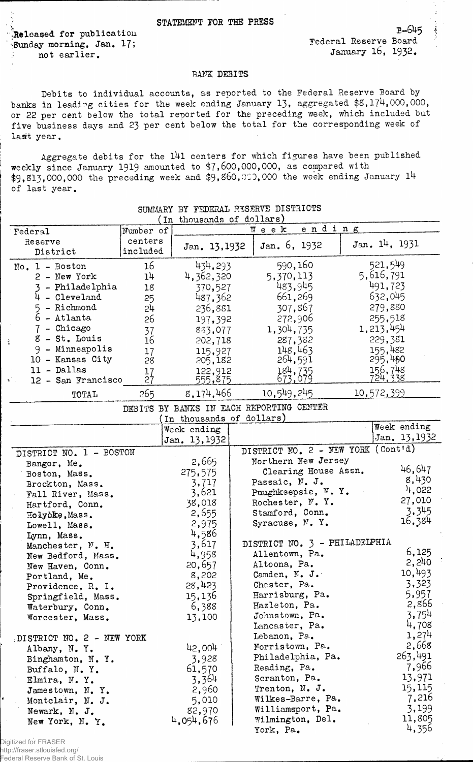## STATEMENT FOR THE PRESS

'.Released for publication Sunday morning, Jan. 17; not earlier.

E-6U5 Federal Reserve Board January l6, 1932.

## BANK DEBITS

Debits to individual accounts, as reported to the Federal Reserve Board by banks in leading cities for the week ending January 13, aggregated \$8,174,000,000, or 22 per cent below the total reported for the preceding week, which included but five business days and 23 per cent below the total for the corresponding week of last year.

Aggregate debits for the 141 centers for which figures have been published weekly since January 1919 amounted to \$7,600,000,000, as compared with  $$9,813,000,000$  the preceding week and  $$9,860,000,000$  the week ending January  $14$ of last year.

| Federal                   | τn<br>Number of | thousands of doffers)                    | Week |                                    | ending |               |
|---------------------------|-----------------|------------------------------------------|------|------------------------------------|--------|---------------|
| Reserve                   | centers         |                                          |      |                                    |        |               |
| District                  | included        | Jan. 13,1932                             |      | Jan. 6, 1932                       |        | Jan. 14, 1931 |
| $No. 1 - Boston$          | 16              | 434,293                                  |      | 590,160                            |        | 521,549       |
|                           | 14              | 4, 362, 320                              |      | 5,370,113                          |        | 5,616,791     |
| $2 - New York$            |                 |                                          |      |                                    |        | 491,723       |
| - Philadelphia            | 18              | 370,527                                  |      | 483,945                            |        |               |
| $4$ - Cleveland           | 25              | 487,362                                  |      | 661,269                            |        | 632,045       |
| 5 - Richmond              | 24              | 236,881                                  |      | 307,867                            |        | 279,880       |
| 6 - Atlanta               | 26              | 197,392                                  |      | 272,906                            |        | 255,518       |
| $7$ - Chicago             | 37              | 833,077                                  |      | 1,304,735                          |        | 1, 213, 454   |
| $8 - St.$ Louis<br>è.     | 16              | 202,718                                  |      | 287,382                            |        | 229,381       |
| 9 - Minneapolis           | 17              | 115,927                                  |      | 148,463                            |        | 155,482       |
| 10 - Kansas City          | 28              | 205,182                                  |      | 264,591                            |        | 295,400       |
| 11 - Dallas               | 17              | 122,912                                  |      | 184,735                            |        | 156,748       |
| 12 - San Francisco<br>v.  | 27              | 555,875                                  |      | .079                               |        | 724.338       |
| TOTAL                     | 265             | 8,174,466                                |      | 10,549,245                         |        | 10,572,399    |
|                           |                 | DEBITS BY BANKS IN EACH REPORTING CENTER |      |                                    |        |               |
|                           |                 | In thousands of dollars)                 |      |                                    |        |               |
|                           |                 | Week ending                              |      |                                    |        | Week ending   |
|                           |                 | Jan. 13, 1932                            |      |                                    |        | Jan. 13, 1932 |
| DISTRICT NO. 1 - BOSTON   |                 |                                          |      | DISTRICT NO. 2 - NEW YORK (Cont'd) |        |               |
| Bangor, Me.               |                 | 2,665                                    |      | Northern New Jersey                |        |               |
| Boston, Mass.             |                 | 275,575                                  |      | Clearing House Assn.               |        | 46,647        |
| Brockton, Mass.           |                 | 3,717                                    |      | Passaic, N. J.                     |        | 8,430         |
| Fall River, Mass.         |                 | 3,621                                    |      | Paughkeepsie, N.Y.                 |        | 4,022         |
| Hartford, Conn.           |                 | 38,018                                   |      | Rochester, N.Y.                    |        | 27,010        |
| Holyoke, Mass.            |                 | 2,555                                    |      | Stamford, Conn.                    |        | 3,345         |
| Lowell, Mass.             |                 | 2,975                                    |      | Syracuse, N.Y.                     |        | 16,384        |
| Lynn, Mass.               |                 | 4,586                                    |      |                                    |        |               |
| Manchester, N. H.         |                 | 3,617                                    |      | DISTRICT NO. 3 - PHILADELPHIA      |        |               |
| New Bedford, Mass.        |                 | 4,958                                    |      | Allentown, Pa.                     |        | 6,125         |
| New Haven, Conn.          |                 | 20,657                                   |      | Altoona, Pa.                       |        | 2,240         |
| Portland, Me.             |                 | 8,202                                    |      | Camden, N. J.                      |        | 10,493        |
| Providence, R. I.         |                 | 28,423                                   |      | Chester, Pa.                       |        | 3,323         |
| Springfield, Mass.        |                 | 15,136                                   |      | Harrisburg, Pa.                    |        | 5,957         |
| Waterbury, Conn.          |                 | 6,388                                    |      | Hazleton, Pa.                      |        | 2,866         |
| Worcester, Mass.          |                 | 13,100                                   |      | Johnstown, Pa.                     |        | 3,754         |
|                           |                 |                                          |      | Lancaster, Pa.                     |        | 4,708         |
| DISTRICT NO. 2 - NEW YORK |                 |                                          |      | Lebanon, Pa.                       |        | 1,274         |
| Albany, N.Y.              |                 | 42,004                                   |      | Norristown, Pa.                    |        | 2,668         |
| Binghamton, N.Y.          |                 | 3,928                                    |      | Philadelphia, Pa.                  |        | 263,491       |
| Buffalo, N.Y.             |                 | 61,570                                   |      | Reading, Pa.                       |        | 7,966         |
| Elmira, N.Y.              |                 | 3,364                                    |      | Scranton, Pa.                      |        | 13,971        |
| Jamestown, N.Y.           |                 | 2,960                                    |      | Trenton, N. J.                     |        | 15,115        |
| Montclair, N. J.          |                 | 5,010                                    |      | Wilkes-Barre, Pa.                  |        | 7,216         |
| Newark, N. J.             |                 | 82,970                                   |      | Williamsport, Pa.                  |        | 3,199         |
| New York, N. Y.           |                 | 4,054,676                                |      | Wilmington, Del.                   |        | 11,805        |
|                           |                 |                                          |      | York, Pa.                          |        | 4,356         |
|                           |                 |                                          |      |                                    |        |               |

## SUMMARY BY FEDERAL RESERVE DISTRICTS  $1 + ...$

Digitized for FRASER http://fraser.stlouisfed.org/ Federal Reserve Bank of St. Louis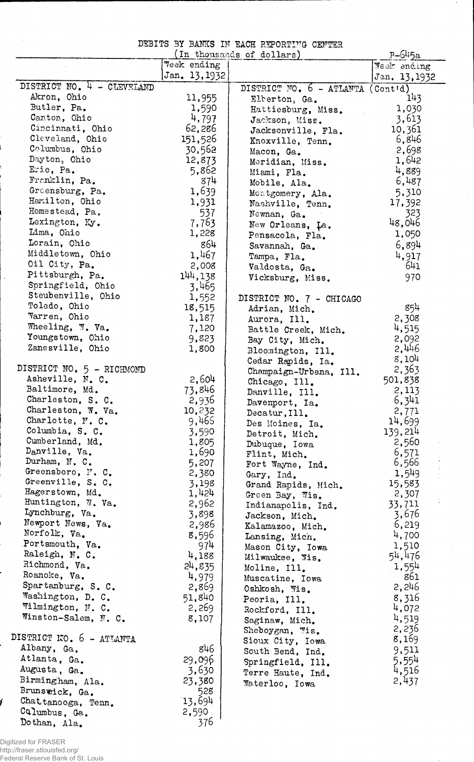|  |  |  |  |  | DEBITS BY BANKS IN EACH REPORTING CENTER |  |
|--|--|--|--|--|------------------------------------------|--|
|--|--|--|--|--|------------------------------------------|--|

|                                   |               | In thousands of dollars)   | $P-645a$                      |
|-----------------------------------|---------------|----------------------------|-------------------------------|
|                                   | Week ending   |                            | Week ending                   |
|                                   | Jan. 13, 1932 |                            | Jan. 13, 1932                 |
| DISTRICT NO. 4 - CLEVELAND        |               | DISTRICT NO. 6 - ATLANTA   | $($ Cont $d)$                 |
| Akron, Ohio                       | 11,955        | Elberton, Ga.              | 143                           |
| Butler, Pa.                       | 1,590         | Hattiesburg, Miss.         | 1,030                         |
| Canton, Ohio                      | 4,797         | Jackson, Miss.             | 3,613                         |
| Cincinnati, Ohio                  | 62,286        | Jacksonville, Fla.         | 10,361                        |
| Cleveland, Ohio                   | 151,526       | Knoxville, Tenn.           | 6,846                         |
| Columbus, Ohio                    | 30,562        | Macon, Ga.                 | 2,698                         |
| Dayton, Ohio                      | 12,873        | Meridian, Miss.            | 1,642                         |
| Erie, Pa.                         | 5,862         | Miami, Fla.                | 4,889                         |
| Franklin, Pa.                     | 874           | Mobile, Ala.               | 6,487                         |
| Greensburg, Pa.                   | 1,639         | Montgomery, Ala.           | 5,310                         |
| Hamilton, Ohio                    | 1,931         | Nashville, Tenn.           | 17,392                        |
| Homestead, Pa.                    | 537           | Newnan, Ga.                | 323                           |
| Lexington, Ky.                    | 7,763         | New Orleans, La.           | 48,046                        |
| Lima, Ohio                        | 1,228         | Pensacola, Fla.            | 1,050                         |
| Lorain, Ohio                      | 864           |                            | 6,894                         |
| Middletown, Ohio                  | 1,467         | Savannah, Ga.              |                               |
| Oil City, Pa.                     |               | Tampa, Fla.                | 4,917<br>641                  |
| Pittsburgh, Pa.                   | 2,008         | Valdosta, Ga.              |                               |
| Springfield, Ohio                 | 144,138       | Vicksburg, Miss.           | 970                           |
| Steubenville, Ohio                | 3,465         |                            |                               |
| Toledo, Ohio                      | 1,552         | DISTRICT NO. 7 - CHICAGO   |                               |
| Warren, Ohio                      | 18,515        | Adrian, Mich.              | 854                           |
|                                   | 1,187         | Aurora, Ill.               | 2,308                         |
| Wheeling, W. Va.                  | 7,120         | Battle Creek, Mich.        | 4,515                         |
| Youngstown, Ohio                  | 9,823         | Bay City, Mich.            | 2,092                         |
| Zanesville, Ohio                  | 1,800         | Bloomington, Ill.          | 2,446                         |
|                                   |               | Cedar Rapids, Ia.          | 8,104                         |
| DISTRICT NO. 5 - RICHMOND         |               | Champaign-Urbana, Ill.     | 2,363                         |
| Asheville, N. C.                  | 2,604         | Chicago, Ill.              | 501,838                       |
| Baltimore, Md.                    | 73,846        | Danville, Ill.             | 2,113                         |
| Charleston, S. C.                 | 2,936         | Davenport, Ia.             | 6,341                         |
| Charleston, W. Va.                | 10,232        | Decatur, Ill.              | 2,771                         |
| Charlotte, N. C.                  | 9,465         | Des Moines, Ia.            | 14,699                        |
| Columbia, S. C.                   | 3,590         | Detroit, Mich.             | 139,214                       |
| Cumberland, Md.                   | 1,805         | Dubuque, Iowa              | 2,560                         |
| Danville, Va.                     | 1,690         | Flint, Mich.<br>$\sim 100$ | 6,571<br>$\frac{1}{\epsilon}$ |
| Durham, N. C.                     | 5,207         | Fort Wayne, Ind.           | 6,566                         |
| Greensboro, N. C.                 | 2,380         | Gary, Ind.                 | 1,549                         |
| Greenville, S. C.                 | 3,198         | Grand Rapids, Mich.        | 15,583                        |
| Hagerstown, Md.                   | 1,424         | Green Bay, Wis.            | 2,307                         |
| Huntington, W. Va.                | 2,962         | Indianapolis, Ind.         | 33,711                        |
| Lynchburg, Va.                    | 3,898         | Jackson, Mich.             | 3,676                         |
| Newport News, Va.<br>Norfolk, Va. | 2,986         | Kalamazoo, Mich.           | 6,219                         |
|                                   | 8,596         | Lansing, Mich.             | 4,700                         |
| Portsmouth, Va.                   | 974           | Mason City, Iowa           | 1,510                         |
| Raleigh, N. C.                    | 4,188         | Milwaukee, Wis.            | 54,476                        |
| Richmond, Va.                     | 24,835        | Moline, Ill.               | 1,554                         |
| Roanoke, Va.                      | 4,979         | Muscatine, Iowa            | 861                           |
| Spartanburg, S. C.                | 2,869         | Oshkosh, Wis.              | 2,246                         |
| Washington, D. C.                 | 51,840        | Peoria, Ill.               | 8,316                         |
| Wilmington, N. C.                 | 2,269         | Rockford, Ill.             | 4,072                         |
| Winston-Salem, N. C.              | 8,107         | Saginaw, Mich.             | 4,519                         |
|                                   |               | Sheboygan, Wis.            | 2,236                         |
| DISTRICT NO. 6 - ATIANTA          |               | Sioux City, Iowa           | 8,169                         |
| Albany, Ga.                       | g46           | South Bend, Ind.           | 9,511                         |
| Atlanta, Ga.                      | 29,096        | Springfield, Ill.          | 5,554                         |
| Augusta, Ga.                      | 3,630         | Terre Haute, Ind.          | 4,516                         |
| Birmingham, Ala.                  | 23,380        | Waterloo, Iowa             | 2,437                         |
| Brunswick, Ga.                    | 528           |                            |                               |
| Chattanooga, Tenn.                | 13,694        |                            |                               |
| Columbus, Ga.                     | 2,590         |                            |                               |
| Dothan, Ala.                      | 376           |                            |                               |

Digitized for FRASER http://fraser.stlouisfed.org/ Federal Reserve Bank of St. Louis

֦

f

 $\hat{\mathcal{A}}$ 

 $\hat{\boldsymbol{\theta}}$ 

 $\sim 10$